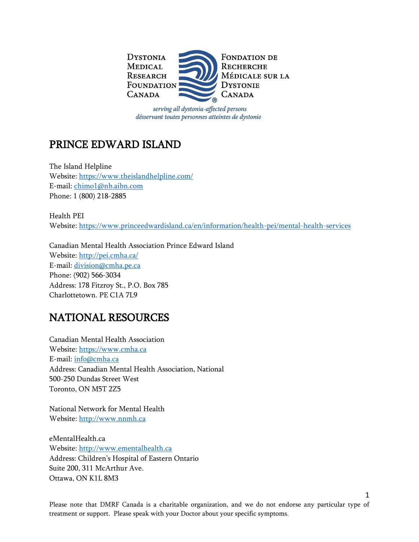

serving all dystonia-affected persons désservant toutes personnes atteintes de dystonie

## PRINCE EDWARD ISLAND

The Island Helpline Website:<https://www.theislandhelpline.com/> E-mail: [chimo1@nb.aibn.com](mailto:chimo1@nb.aibn.com) Phone: 1 (800) 218-2885

Health PEI Website:<https://www.princeedwardisland.ca/en/information/health-pei/mental-health-services>

Canadian Mental Health Association Prince Edward Island Website:<http://pei.cmha.ca/> E-mail: [division@cmha.pe.ca](mailto:division@cmha.pe.ca) Phone: (902) 566-3034 Address: 178 Fitzroy St., P.O. Box 785 Charlottetown. PE C1A 7L9

## NATIONAL RESOURCES

Canadian Mental Health Association Website: [https://www.cmha.ca](https://www.cmha.ca/) E-mail: [info@cmha.ca](mailto:info@cmha.ca) Address: Canadian Mental Health Association, National 500-250 Dundas Street West Toronto, ON M5T 2Z5

National Network for Mental Health Website: [http://www.nnmh.ca](http://www.nnmh.ca/)

eMentalHealth.ca Website: [http://www.ementalhealth.ca](http://www.ementalhealth.ca/) Address: Children's Hospital of Eastern Ontario Suite 200, 311 McArthur Ave. Ottawa, ON K1L 8M3

Please note that DMRF Canada is a charitable organization, and we do not endorse any particular type of treatment or support. Please speak with your Doctor about your specific symptoms.

1